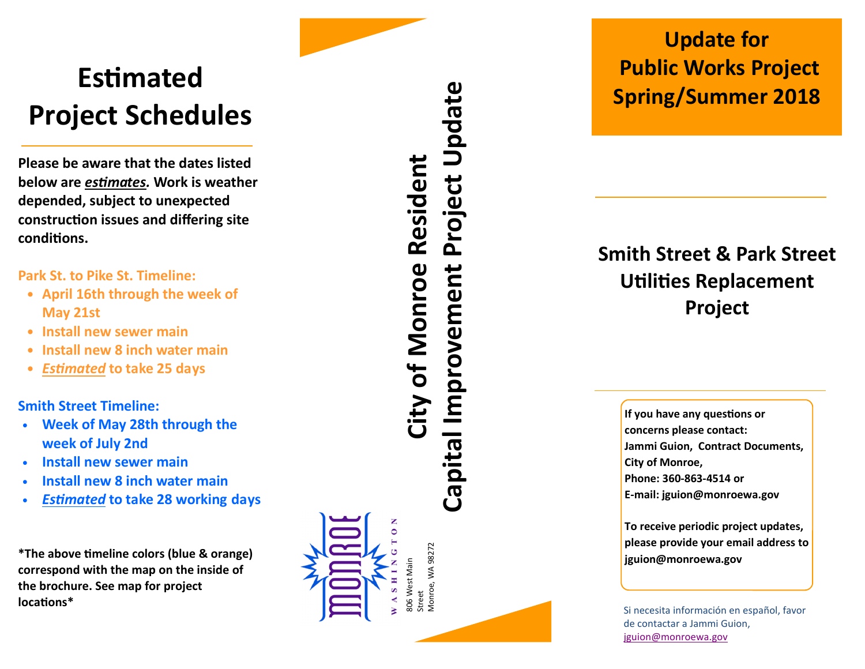## **Estimated** Project Schedules

Please be aware that the dates listed below are *estimates*. Work is weather depended, subject to unexpected construction issues and differing site conditions.

Park St. to Pike St. Timeline:

- April 16th through the week of May 21st
- Install new sewer main
- Install new 8 inch water main
- **Estimated to take 25 days**

Smith Street Timeline:

- Week of May 28th through the week of July 2nd
- Install new sewer main
- Install new 8 inch water main
- **Estimated to take 28 working days**

\*The above timeline colors (blue & orange) correspond with the map on the inside of the brochure. See map for project locations\*

# Capital Improvement Project Update Project Update City of Monroe Resident **City of Monroe Resident** Capital Improvement

806 West Main Street<br>Monroe, WA 98272 Monroe, WA 98272

806 West Main

#### Update for Public Works Project Spring/Summer 2018

#### Smith Street & Park Street **Utilities Replacement** Project

If you have any questions or concerns please contact: Jammi Guion, Contract Documents, City of Monroe, Phone: 360-863-4514 or E-mail: jguion@monroewa.gov

To receive periodic project updates, please provide your email address to jguion@monroewa.gov

Si necesita información en español, favor de contactar a Jammi Guion, jguion@monroewa.gov